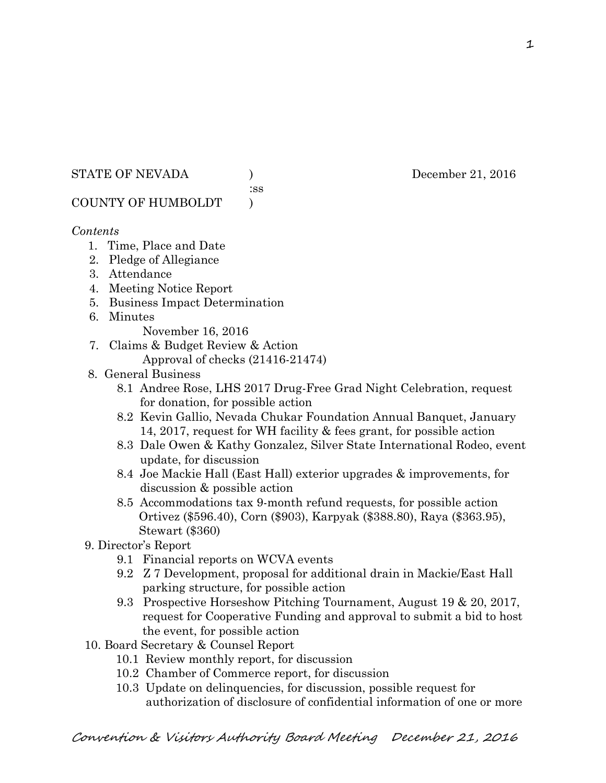#### STATE OF NEVADA (a) December 21, 2016

:ss

# COUNTY OF HUMBOLDT )

# *Contents*

- 1. Time, Place and Date
- 2. Pledge of Allegiance
- 3. Attendance
- 4. Meeting Notice Report
- 5. Business Impact Determination
- 6. Minutes
	- November 16, 2016
- 7. Claims & Budget Review & Action
	- Approval of checks (21416-21474)
- 8. General Business
	- 8.1 Andree Rose, LHS 2017 Drug-Free Grad Night Celebration, request for donation, for possible action
	- 8.2 Kevin Gallio, Nevada Chukar Foundation Annual Banquet, January 14, 2017, request for WH facility & fees grant, for possible action
	- 8.3 Dale Owen & Kathy Gonzalez, Silver State International Rodeo, event update, for discussion
	- 8.4 Joe Mackie Hall (East Hall) exterior upgrades & improvements, for discussion & possible action
	- 8.5 Accommodations tax 9-month refund requests, for possible action Ortivez (\$596.40), Corn (\$903), Karpyak (\$388.80), Raya (\$363.95), Stewart (\$360)
- 9. Director's Report
	- 9.1 Financial reports on WCVA events
	- 9.2 Z 7 Development, proposal for additional drain in Mackie/East Hall parking structure, for possible action
	- 9.3 Prospective Horseshow Pitching Tournament, August 19 & 20, 2017, request for Cooperative Funding and approval to submit a bid to host the event, for possible action
- 10. Board Secretary & Counsel Report
	- 10.1 Review monthly report, for discussion
	- 10.2 Chamber of Commerce report, for discussion
	- 10.3 Update on delinquencies, for discussion, possible request for authorization of disclosure of confidential information of one or more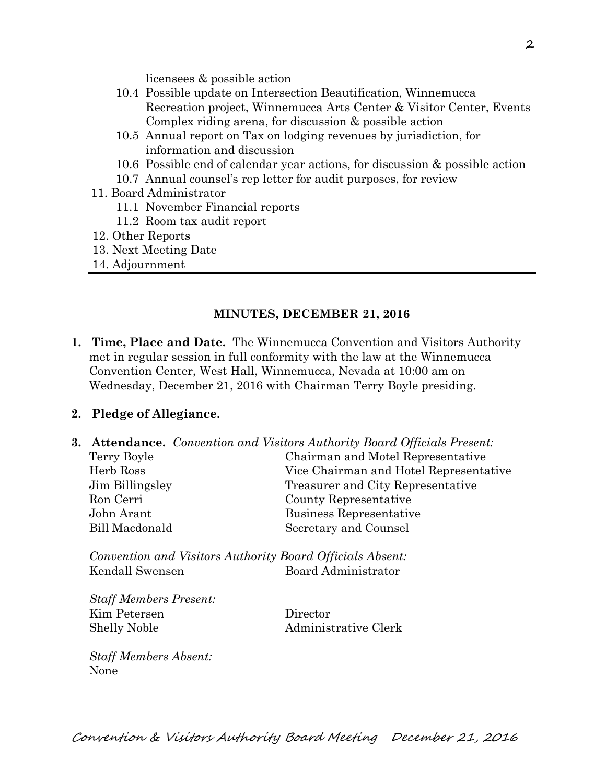licensees & possible action

- 10.4 Possible update on Intersection Beautification, Winnemucca Recreation project, Winnemucca Arts Center & Visitor Center, Events Complex riding arena, for discussion & possible action
- 10.5 Annual report on Tax on lodging revenues by jurisdiction, for information and discussion
- 10.6 Possible end of calendar year actions, for discussion & possible action
- 10.7 Annual counsel's rep letter for audit purposes, for review
- 11. Board Administrator
	- 11.1 November Financial reports
	- 11.2 Room tax audit report
- 12. Other Reports
- 13. Next Meeting Date
- 14. Adjournment

#### **MINUTES, DECEMBER 21, 2016**

**1. Time, Place and Date.** The Winnemucca Convention and Visitors Authority met in regular session in full conformity with the law at the Winnemucca Convention Center, West Hall, Winnemucca, Nevada at 10:00 am on Wednesday, December 21, 2016 with Chairman Terry Boyle presiding.

# **2. Pledge of Allegiance.**

**3. Attendance.** *Convention and Visitors Authority Board Officials Present:*  Terry Boyle Chairman and Motel Representative Herb Ross Vice Chairman and Hotel Representative Jim Billingsley Treasurer and City Representative Ron Cerri County Representative John Arant Business Representative Bill Macdonald Secretary and Counsel

*Convention and Visitors Authority Board Officials Absent:*  Kendall Swensen Board Administrator

*Staff Members Present:*  Kim Petersen Director Shelly Noble Administrative Clerk

*Staff Members Absent:*  None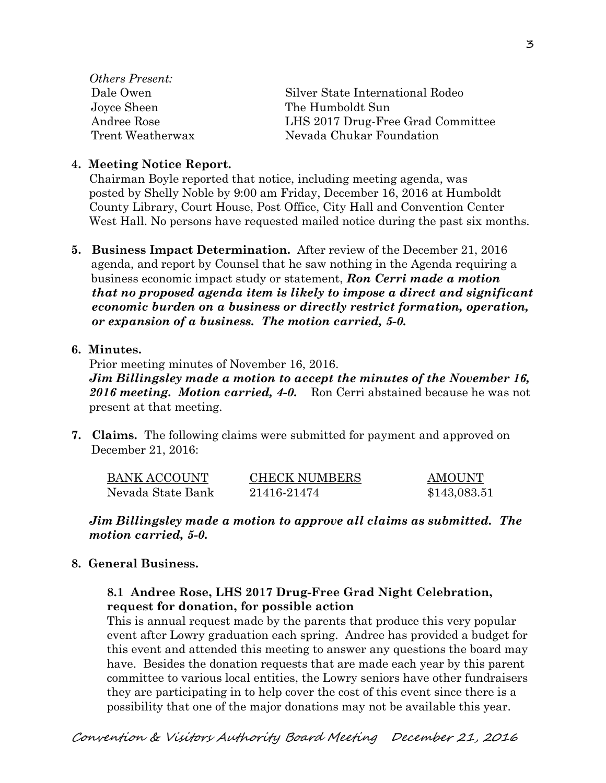*Others Present:*  Joyce Sheen The Humboldt Sun

 Dale Owen Silver State International Rodeo Andree Rose LHS 2017 Drug-Free Grad Committee Trent Weatherwax Nevada Chukar Foundation

#### **4. Meeting Notice Report.**

Chairman Boyle reported that notice, including meeting agenda, was posted by Shelly Noble by 9:00 am Friday, December 16, 2016 at Humboldt County Library, Court House, Post Office, City Hall and Convention Center West Hall. No persons have requested mailed notice during the past six months.

**5. Business Impact Determination.** After review of the December 21, 2016 agenda, and report by Counsel that he saw nothing in the Agenda requiring a business economic impact study or statement, *Ron Cerri made a motion that no proposed agenda item is likely to impose a direct and significant economic burden on a business or directly restrict formation, operation, or expansion of a business. The motion carried, 5-0.* 

#### **6. Minutes.**

Prior meeting minutes of November 16, 2016.

*Jim Billingsley made a motion to accept the minutes of the November 16, 2016 meeting. Motion carried, 4-0.* Ron Cerri abstained because he was not present at that meeting.

**7. Claims.** The following claims were submitted for payment and approved on December 21, 2016:

| <b>BANK ACCOUNT</b> | <b>CHECK NUMBERS</b> | <b>AMOUNT</b> |
|---------------------|----------------------|---------------|
| Nevada State Bank   | 21416-21474          | \$143,083.51  |

#### *Jim Billingsley made a motion to approve all claims as submitted. The motion carried, 5-0.*

#### **8. General Business.**

# **8.1 Andree Rose, LHS 2017 Drug-Free Grad Night Celebration, request for donation, for possible action**

This is annual request made by the parents that produce this very popular event after Lowry graduation each spring. Andree has provided a budget for this event and attended this meeting to answer any questions the board may have. Besides the donation requests that are made each year by this parent committee to various local entities, the Lowry seniors have other fundraisers they are participating in to help cover the cost of this event since there is a possibility that one of the major donations may not be available this year.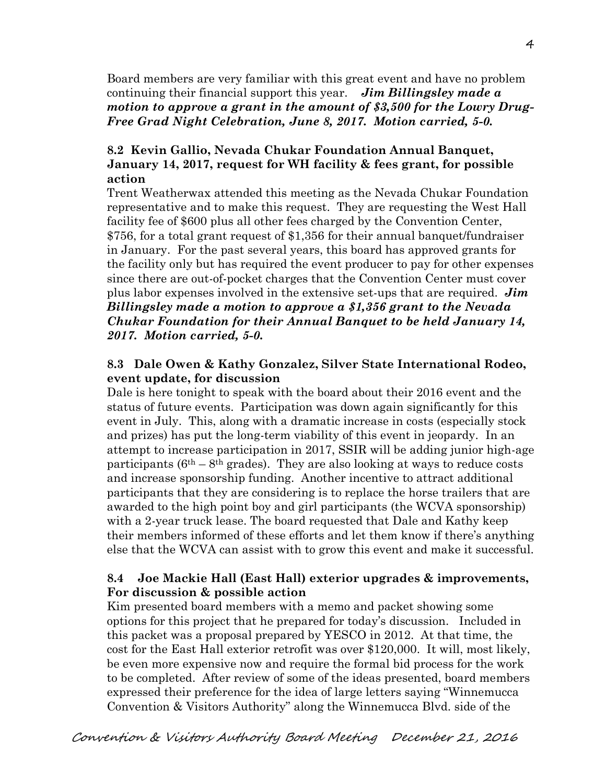Board members are very familiar with this great event and have no problem continuing their financial support this year. *Jim Billingsley made a motion to approve a grant in the amount of \$3,500 for the Lowry Drug-Free Grad Night Celebration, June 8, 2017. Motion carried, 5-0.*

# **8.2 Kevin Gallio, Nevada Chukar Foundation Annual Banquet, January 14, 2017, request for WH facility & fees grant, for possible action**

Trent Weatherwax attended this meeting as the Nevada Chukar Foundation representative and to make this request. They are requesting the West Hall facility fee of \$600 plus all other fees charged by the Convention Center, \$756, for a total grant request of \$1,356 for their annual banquet/fundraiser in January. For the past several years, this board has approved grants for the facility only but has required the event producer to pay for other expenses since there are out-of-pocket charges that the Convention Center must cover plus labor expenses involved in the extensive set-ups that are required. *Jim Billingsley made a motion to approve a \$1,356 grant to the Nevada Chukar Foundation for their Annual Banquet to be held January 14, 2017. Motion carried, 5-0.*

# **8.3 Dale Owen & Kathy Gonzalez, Silver State International Rodeo, event update, for discussion**

Dale is here tonight to speak with the board about their 2016 event and the status of future events. Participation was down again significantly for this event in July. This, along with a dramatic increase in costs (especially stock and prizes) has put the long-term viability of this event in jeopardy. In an attempt to increase participation in 2017, SSIR will be adding junior high-age participants ( $6<sup>th</sup> - 8<sup>th</sup>$  grades). They are also looking at ways to reduce costs and increase sponsorship funding. Another incentive to attract additional participants that they are considering is to replace the horse trailers that are awarded to the high point boy and girl participants (the WCVA sponsorship) with a 2-year truck lease. The board requested that Dale and Kathy keep their members informed of these efforts and let them know if there's anything else that the WCVA can assist with to grow this event and make it successful.

# **8.4 Joe Mackie Hall (East Hall) exterior upgrades & improvements, For discussion & possible action**

Kim presented board members with a memo and packet showing some options for this project that he prepared for today's discussion. Included in this packet was a proposal prepared by YESCO in 2012. At that time, the cost for the East Hall exterior retrofit was over \$120,000. It will, most likely, be even more expensive now and require the formal bid process for the work to be completed. After review of some of the ideas presented, board members expressed their preference for the idea of large letters saying "Winnemucca Convention & Visitors Authority" along the Winnemucca Blvd. side of the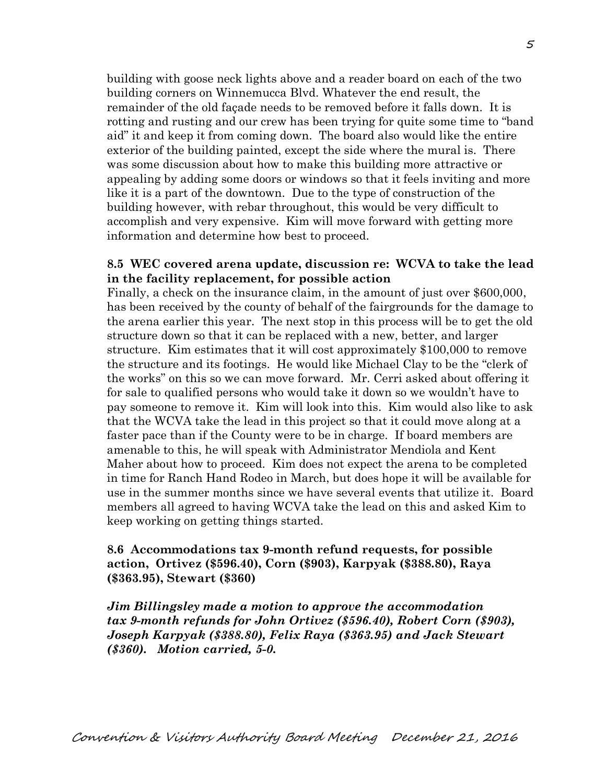building with goose neck lights above and a reader board on each of the two building corners on Winnemucca Blvd. Whatever the end result, the remainder of the old façade needs to be removed before it falls down. It is rotting and rusting and our crew has been trying for quite some time to "band aid" it and keep it from coming down. The board also would like the entire exterior of the building painted, except the side where the mural is. There was some discussion about how to make this building more attractive or appealing by adding some doors or windows so that it feels inviting and more like it is a part of the downtown. Due to the type of construction of the building however, with rebar throughout, this would be very difficult to accomplish and very expensive. Kim will move forward with getting more information and determine how best to proceed.

# **8.5 WEC covered arena update, discussion re: WCVA to take the lead in the facility replacement, for possible action**

Finally, a check on the insurance claim, in the amount of just over \$600,000, has been received by the county of behalf of the fairgrounds for the damage to the arena earlier this year. The next stop in this process will be to get the old structure down so that it can be replaced with a new, better, and larger structure. Kim estimates that it will cost approximately \$100,000 to remove the structure and its footings. He would like Michael Clay to be the "clerk of the works" on this so we can move forward. Mr. Cerri asked about offering it for sale to qualified persons who would take it down so we wouldn't have to pay someone to remove it. Kim will look into this. Kim would also like to ask that the WCVA take the lead in this project so that it could move along at a faster pace than if the County were to be in charge. If board members are amenable to this, he will speak with Administrator Mendiola and Kent Maher about how to proceed. Kim does not expect the arena to be completed in time for Ranch Hand Rodeo in March, but does hope it will be available for use in the summer months since we have several events that utilize it. Board members all agreed to having WCVA take the lead on this and asked Kim to keep working on getting things started.

# **8.6 Accommodations tax 9-month refund requests, for possible action, Ortivez (\$596.40), Corn (\$903), Karpyak (\$388.80), Raya (\$363.95), Stewart (\$360)**

*Jim Billingsley made a motion to approve the accommodation tax 9-month refunds for John Ortivez (\$596.40), Robert Corn (\$903), Joseph Karpyak (\$388.80), Felix Raya (\$363.95) and Jack Stewart (\$360). Motion carried, 5-0.*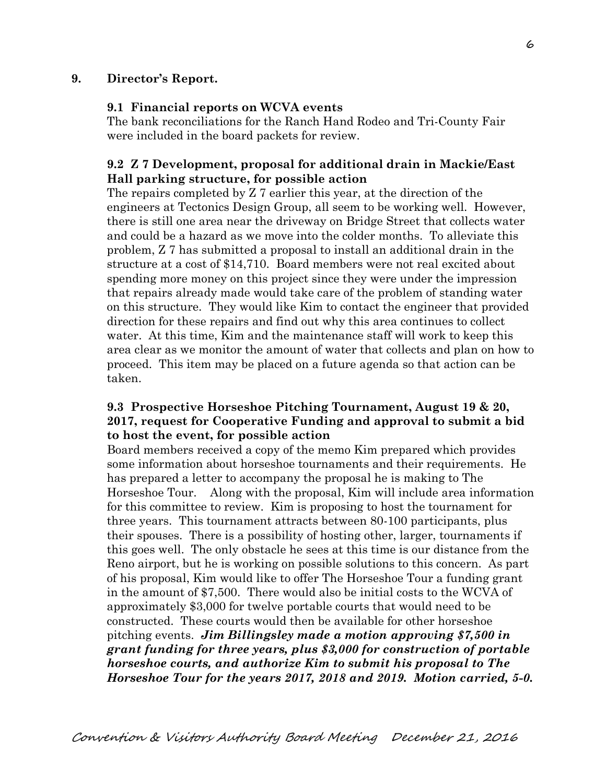#### **9. Director's Report.**

#### **9.1 Financial reports on WCVA events**

The bank reconciliations for the Ranch Hand Rodeo and Tri-County Fair were included in the board packets for review.

# **9.2 Z 7 Development, proposal for additional drain in Mackie/East Hall parking structure, for possible action**

The repairs completed by Z 7 earlier this year, at the direction of the engineers at Tectonics Design Group, all seem to be working well. However, there is still one area near the driveway on Bridge Street that collects water and could be a hazard as we move into the colder months. To alleviate this problem, Z 7 has submitted a proposal to install an additional drain in the structure at a cost of \$14,710. Board members were not real excited about spending more money on this project since they were under the impression that repairs already made would take care of the problem of standing water on this structure. They would like Kim to contact the engineer that provided direction for these repairs and find out why this area continues to collect water. At this time, Kim and the maintenance staff will work to keep this area clear as we monitor the amount of water that collects and plan on how to proceed. This item may be placed on a future agenda so that action can be taken.

# **9.3 Prospective Horseshoe Pitching Tournament, August 19 & 20, 2017, request for Cooperative Funding and approval to submit a bid to host the event, for possible action**

Board members received a copy of the memo Kim prepared which provides some information about horseshoe tournaments and their requirements. He has prepared a letter to accompany the proposal he is making to The Horseshoe Tour. Along with the proposal, Kim will include area information for this committee to review. Kim is proposing to host the tournament for three years. This tournament attracts between 80-100 participants, plus their spouses. There is a possibility of hosting other, larger, tournaments if this goes well. The only obstacle he sees at this time is our distance from the Reno airport, but he is working on possible solutions to this concern. As part of his proposal, Kim would like to offer The Horseshoe Tour a funding grant in the amount of \$7,500. There would also be initial costs to the WCVA of approximately \$3,000 for twelve portable courts that would need to be constructed. These courts would then be available for other horseshoe pitching events. *Jim Billingsley made a motion approving \$7,500 in grant funding for three years, plus \$3,000 for construction of portable horseshoe courts, and authorize Kim to submit his proposal to The Horseshoe Tour for the years 2017, 2018 and 2019. Motion carried, 5-0.*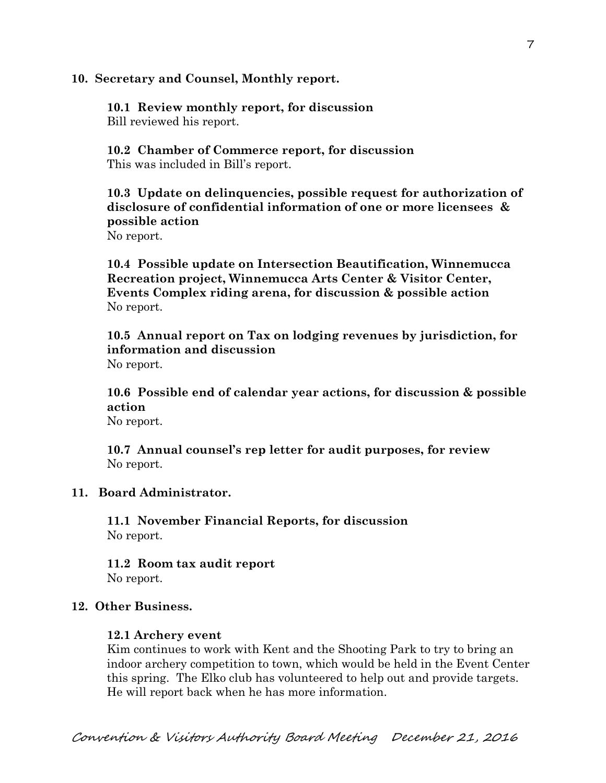#### **10. Secretary and Counsel, Monthly report.**

**10.1 Review monthly report, for discussion**  Bill reviewed his report.

**10.2 Chamber of Commerce report, for discussion**  This was included in Bill's report.

**10.3 Update on delinquencies, possible request for authorization of disclosure of confidential information of one or more licensees & possible action** 

No report.

**10.4 Possible update on Intersection Beautification, Winnemucca Recreation project, Winnemucca Arts Center & Visitor Center, Events Complex riding arena, for discussion & possible action**  No report.

**10.5 Annual report on Tax on lodging revenues by jurisdiction, for information and discussion**  No report.

**10.6 Possible end of calendar year actions, for discussion & possible action**  No report.

**10.7 Annual counsel's rep letter for audit purposes, for review**  No report.

#### **11. Board Administrator.**

**11.1 November Financial Reports, for discussion**  No report.

**11.2 Room tax audit report**  No report.

#### **12. Other Business.**

#### **12.1 Archery event**

Kim continues to work with Kent and the Shooting Park to try to bring an indoor archery competition to town, which would be held in the Event Center this spring. The Elko club has volunteered to help out and provide targets. He will report back when he has more information.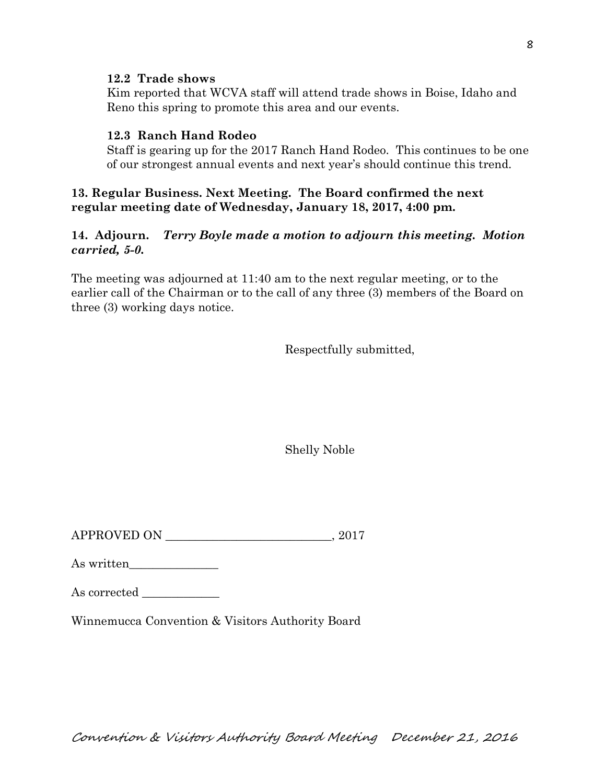#### **12.2 Trade shows**

Kim reported that WCVA staff will attend trade shows in Boise, Idaho and Reno this spring to promote this area and our events.

# **12.3 Ranch Hand Rodeo**

Staff is gearing up for the 2017 Ranch Hand Rodeo. This continues to be one of our strongest annual events and next year's should continue this trend.

# **13. Regular Business. Next Meeting. The Board confirmed the next regular meeting date of Wednesday, January 18, 2017, 4:00 pm.**

# **14. Adjourn.** *Terry Boyle made a motion to adjourn this meeting. Motion carried, 5-0.*

The meeting was adjourned at 11:40 am to the next regular meeting, or to the earlier call of the Chairman or to the call of any three (3) members of the Board on three (3) working days notice.

Respectfully submitted,

Shelly Noble

APPROVED ON  $.2017$ 

As written

| As corrected |  |
|--------------|--|
|              |  |

Winnemucca Convention & Visitors Authority Board